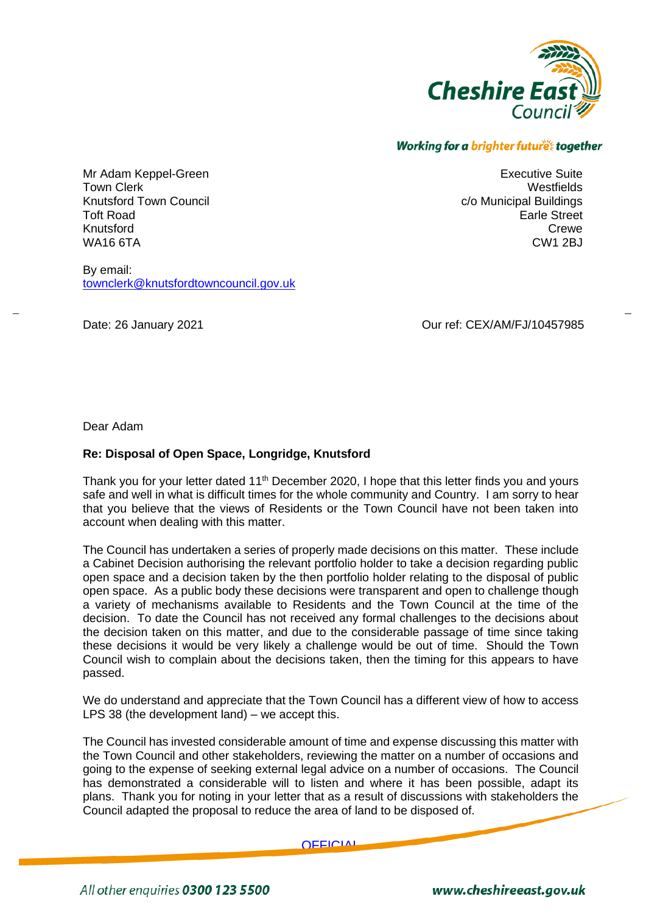

Executive Suite **Westfields** 

> Earle Street Crewe CW1 2BJ

c/o Municipal Buildings

## Working for a brighter future together

Mr Adam Keppel-Green Town Clerk Knutsford Town Council Toft Road Knutsford WA16 6TA

By email: [townclerk@knutsfordtowncouncil.gov.uk](mailto:townclerk@knutsfordtowncouncil.gov.uk)

Date: 26 January 2021 **Date: 26 January 2021** Curref: CEX/AM/FJ/10457985

Dear Adam

## **Re: Disposal of Open Space, Longridge, Knutsford**

Thank you for your letter dated 11<sup>th</sup> December 2020, I hope that this letter finds you and yours safe and well in what is difficult times for the whole community and Country. I am sorry to hear that you believe that the views of Residents or the Town Council have not been taken into account when dealing with this matter.

The Council has undertaken a series of properly made decisions on this matter. These include a Cabinet Decision authorising the relevant portfolio holder to take a decision regarding public open space and a decision taken by the then portfolio holder relating to the disposal of public open space. As a public body these decisions were transparent and open to challenge though a variety of mechanisms available to Residents and the Town Council at the time of the decision. To date the Council has not received any formal challenges to the decisions about the decision taken on this matter, and due to the considerable passage of time since taking these decisions it would be very likely a challenge would be out of time. Should the Town Council wish to complain about the decisions taken, then the timing for this appears to have passed.

We do understand and appreciate that the Town Council has a different view of how to access LPS 38 (the development land) – we accept this.

The Council has invested considerable amount of time and expense discussing this matter with the Town Council and other stakeholders, reviewing the matter on a number of occasions and going to the expense of seeking external legal advice on a number of occasions. The Council has demonstrated a considerable will to listen and where it has been possible, adapt its plans. Thank you for noting in your letter that as a result of discussions with stakeholders the Council adapted the proposal to reduce the area of land to be disposed of.

**OFFICIAL** 

All other enquiries 0300 123 5500

www.cheshireeast.gov.uk